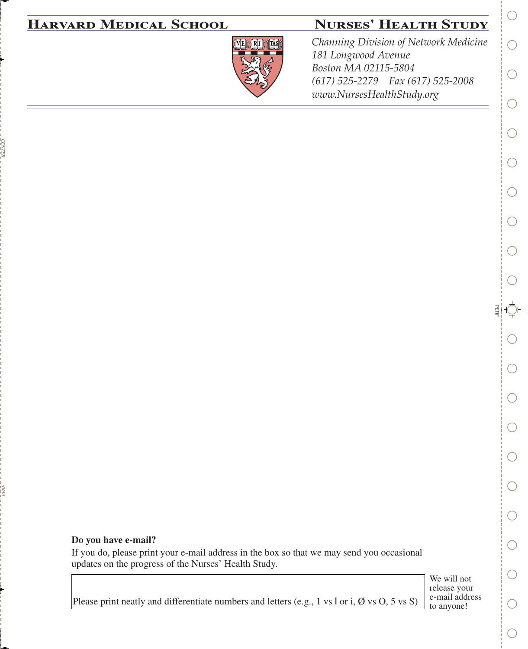## **Harvard Medical School Nurses' Health Study**

*CENTER*

*CENTER PERF*



*Channing Division of Network Medicine 181 Longwood Avenue Boston MA 02115-5804 (617) 525-2279 Fax (617) 525-2008 www.NursesHealthStudy.org*

### **Do you have e-mail?**

If you do, please print your e-mail address in the box so that we may send you occasional updates on the progress of the Nurses' Health Study.

> We will not release your e-mail address

Please print neatly and differentiate numbers and letters (e.g., 1 vs I or i,  $\emptyset$  vs O, 5 vs S)  $\Big|_0^{\text{e-min and}}$  to anyone!

PERF

∩

◯

 $(\ )$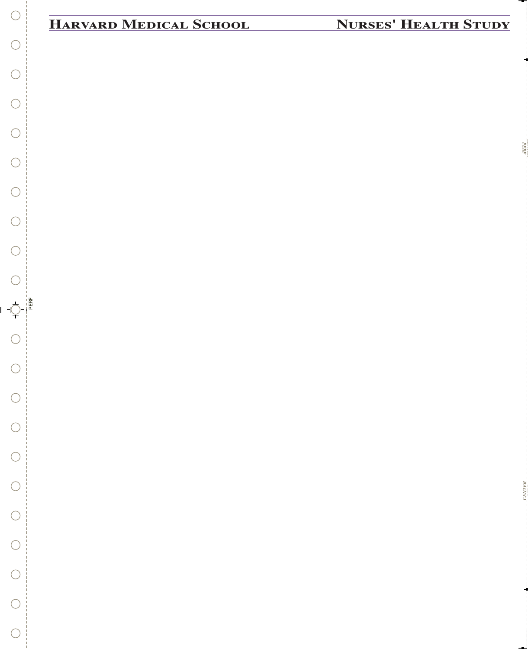# **HARVARD MEDICAL SCHOOL**

*CENTER PERF*

*CENTER*

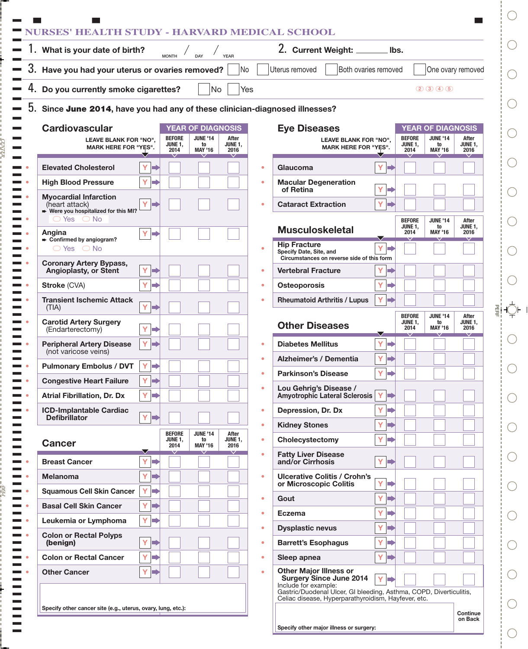| 3. Have you had your uterus or ovaries removed?<br>Both ovaries removed<br> No<br>Uterus removed<br>Do you currently smoke cigarettes?<br>No<br>$(2)$ $(3)$ $(4)$ $(5)$<br>Yes<br>Since June 2014, have you had any of these clinician-diagnosed illnesses?<br><b>Cardiovascular</b><br><b>YEAR OF DIAGNOSIS</b><br><b>Eye Diseases</b><br><b>BEFORE</b><br><b>JUNE '14</b><br><b>JUNE '14</b><br><b>BEFORE</b><br>After<br><b>LEAVE BLANK FOR "NO",</b><br><b>LEAVE BLANK FOR "NO",</b><br>JUNE 1,<br>JUNE 1,<br>JUNE 1,<br>to<br>to<br><b>MARK HERE FOR "YES".</b><br><b>MARK HERE FOR "YES".</b><br><b>MAY '16</b><br><b>MAY '16</b><br>2014<br>2016<br>2014<br>Y<br>Y<br><b>Elevated Cholesterol</b><br>Glaucoma<br>$\bullet$<br>E.<br>Y<br><b>High Blood Pressure</b><br><b>Macular Degeneration</b><br>$\bullet$<br>m.<br>Y<br>of Retina<br><b>Myocardial Infarction</b><br>$Y \rightarrow$<br>Y<br><b>Cataract Extraction</b><br>(heart attack)<br>$\bullet$<br>₩ Were you hospitalized for this MI?<br>$\bigcirc$ Yes $\bigcirc$ No<br><b>BEFORE</b><br><b>JUNE '14</b><br>JUNE 1,<br>to<br><b>Musculoskeletal</b><br><b>MAY '16</b><br>2014<br>$Y \Rightarrow$<br>Angina<br>$\rightarrow$ Confirmed by angiogram?<br><b>Hip Fracture</b><br>Y<br>$\bigcirc$ Yes $\bigcirc$ No<br>$\bullet$<br>Specify Date, Site, and<br>Circumstances on reverse side of this form<br><b>Coronary Artery Bypass,</b><br>$Y \rightarrow$<br>Y<br><b>Angioplasty, or Stent</b><br><b>Vertebral Fracture</b><br>$\bullet$<br>Y<br>Y<br><b>Stroke (CVA)</b><br><b>Osteoporosis</b><br>۰<br>E.<br><b>Transient Ischemic Attack</b><br><b>Rheumatoid Arthritis / Lupus</b><br>$\bullet$<br>Y<br>(TIA)<br>E<br><b>BEFORE</b><br><b>JUNE '14</b><br><b>Carotid Artery Surgery</b><br>JUNE 1,<br>to<br><b>Other Diseases</b><br><b>MAY '16</b><br>2014<br>$Y \Rightarrow$<br>(Endarterectomy)<br>Y<br><b>Diabetes Mellitus</b><br>Y<br><b>Peripheral Artery Disease</b><br>$\bullet$<br>(not varicose veins)<br><b>Alzheimer's / Dementia</b><br>Y<br>$\bullet$<br>$Y \rightarrow$<br><b>Pulmonary Embolus / DVT</b><br>$Y \rightarrow$<br><b>Parkinson's Disease</b><br>$\bullet$<br>Y<br><b>Congestive Heart Failure</b><br>œ<br>Lou Gehrig's Disease /<br>$\bullet$<br>$Y \rightarrow$<br>Amyotrophic Lateral Sclerosis Y<br><b>Atrial Fibrillation, Dr. Dx</b><br><b>Y</b> →<br><b>ICD-Implantable Cardiac</b><br>Depression, Dr. Dx<br>$\bullet$<br>$Y \Rightarrow$<br><b>Defibrillator</b><br>Ÿ<br><b>Kidney Stones</b><br>$\bullet$<br><b>BEFORE</b><br><b>JUNE '14</b><br>After<br>Y<br>Cholecystectomy<br>JUNE 1,<br>JUNE 1,<br>$\bullet$<br>to<br><b>Cancer</b><br><b>MAY '16</b><br>2014<br>2016<br><b>Fatty Liver Disease</b><br>$\bullet$<br>Y<br>and/or Cirrhosis<br>Y<br><b>Breast Cancer</b><br>۳<br>Y<br><b>Melanoma</b><br><b>Ulcerative Colitis / Crohn's</b><br>$\bullet$<br>m)<br>$Y \rightarrow$<br>or Microscopic Colitis<br><b>Y</b> →<br><b>Squamous Cell Skin Cancer</b><br>Ÿ<br>Gout<br>$\bullet$<br>$Y \rightarrow$<br><b>Basal Cell Skin Cancer</b><br>Ÿ<br><b>Eczema</b><br>$\bullet$<br>$Y \Rightarrow$<br>Leukemia or Lymphoma<br>Ÿ<br><b>Dysplastic nevus</b><br>$\bullet$<br><b>Colon or Rectal Polyps</b><br>$Y \Rightarrow$<br>Y<br><b>Barrett's Esophagus</b><br>(benign)<br>۰<br>$Y \Rightarrow$<br>Ÿ<br><b>Colon or Rectal Cancer</b><br>Sleep apnea<br>$\bullet$ | One ovary removed<br><b>YEAR OF DIAGNOSIS</b><br>After<br>JUNE 1,<br>2016<br>After<br>JUNE 1,<br>2016<br>After<br>JUNE 1,<br>2016<br>$Y \rightarrow$<br><b>Other Major Illness or</b><br>$\bullet$<br><b>Surgery Since June 2014</b><br>Y<br>Include for example:<br>Gastric/Duodenal Ulcer, GI bleeding, Asthma, COPD, Diverticulitis, | 1. What is your date of birth? | <b>MONTH</b> | DAY | <b>YEAR</b> | 2. Current Weight: _______ lbs. |  |  |
|-------------------------------------------------------------------------------------------------------------------------------------------------------------------------------------------------------------------------------------------------------------------------------------------------------------------------------------------------------------------------------------------------------------------------------------------------------------------------------------------------------------------------------------------------------------------------------------------------------------------------------------------------------------------------------------------------------------------------------------------------------------------------------------------------------------------------------------------------------------------------------------------------------------------------------------------------------------------------------------------------------------------------------------------------------------------------------------------------------------------------------------------------------------------------------------------------------------------------------------------------------------------------------------------------------------------------------------------------------------------------------------------------------------------------------------------------------------------------------------------------------------------------------------------------------------------------------------------------------------------------------------------------------------------------------------------------------------------------------------------------------------------------------------------------------------------------------------------------------------------------------------------------------------------------------------------------------------------------------------------------------------------------------------------------------------------------------------------------------------------------------------------------------------------------------------------------------------------------------------------------------------------------------------------------------------------------------------------------------------------------------------------------------------------------------------------------------------------------------------------------------------------------------------------------------------------------------------------------------------------------------------------------------------------------------------------------------------------------------------------------------------------------------------------------------------------------------------------------------------------------------------------------------------------------------------------------------------------------------------------------------------------------------------------------------------------------------------------------------------------------------------------------------------------------------------------------------------------------------------------------------------------------------------------------------------------------------------------------------------------------------------------|-----------------------------------------------------------------------------------------------------------------------------------------------------------------------------------------------------------------------------------------------------------------------------------------------------------------------------------------|--------------------------------|--------------|-----|-------------|---------------------------------|--|--|
|                                                                                                                                                                                                                                                                                                                                                                                                                                                                                                                                                                                                                                                                                                                                                                                                                                                                                                                                                                                                                                                                                                                                                                                                                                                                                                                                                                                                                                                                                                                                                                                                                                                                                                                                                                                                                                                                                                                                                                                                                                                                                                                                                                                                                                                                                                                                                                                                                                                                                                                                                                                                                                                                                                                                                                                                                                                                                                                                                                                                                                                                                                                                                                                                                                                                                                                                                                                           |                                                                                                                                                                                                                                                                                                                                         |                                |              |     |             |                                 |  |  |
|                                                                                                                                                                                                                                                                                                                                                                                                                                                                                                                                                                                                                                                                                                                                                                                                                                                                                                                                                                                                                                                                                                                                                                                                                                                                                                                                                                                                                                                                                                                                                                                                                                                                                                                                                                                                                                                                                                                                                                                                                                                                                                                                                                                                                                                                                                                                                                                                                                                                                                                                                                                                                                                                                                                                                                                                                                                                                                                                                                                                                                                                                                                                                                                                                                                                                                                                                                                           |                                                                                                                                                                                                                                                                                                                                         |                                |              |     |             |                                 |  |  |
|                                                                                                                                                                                                                                                                                                                                                                                                                                                                                                                                                                                                                                                                                                                                                                                                                                                                                                                                                                                                                                                                                                                                                                                                                                                                                                                                                                                                                                                                                                                                                                                                                                                                                                                                                                                                                                                                                                                                                                                                                                                                                                                                                                                                                                                                                                                                                                                                                                                                                                                                                                                                                                                                                                                                                                                                                                                                                                                                                                                                                                                                                                                                                                                                                                                                                                                                                                                           |                                                                                                                                                                                                                                                                                                                                         |                                |              |     |             |                                 |  |  |
|                                                                                                                                                                                                                                                                                                                                                                                                                                                                                                                                                                                                                                                                                                                                                                                                                                                                                                                                                                                                                                                                                                                                                                                                                                                                                                                                                                                                                                                                                                                                                                                                                                                                                                                                                                                                                                                                                                                                                                                                                                                                                                                                                                                                                                                                                                                                                                                                                                                                                                                                                                                                                                                                                                                                                                                                                                                                                                                                                                                                                                                                                                                                                                                                                                                                                                                                                                                           |                                                                                                                                                                                                                                                                                                                                         |                                |              |     |             |                                 |  |  |
|                                                                                                                                                                                                                                                                                                                                                                                                                                                                                                                                                                                                                                                                                                                                                                                                                                                                                                                                                                                                                                                                                                                                                                                                                                                                                                                                                                                                                                                                                                                                                                                                                                                                                                                                                                                                                                                                                                                                                                                                                                                                                                                                                                                                                                                                                                                                                                                                                                                                                                                                                                                                                                                                                                                                                                                                                                                                                                                                                                                                                                                                                                                                                                                                                                                                                                                                                                                           |                                                                                                                                                                                                                                                                                                                                         |                                |              |     |             |                                 |  |  |
|                                                                                                                                                                                                                                                                                                                                                                                                                                                                                                                                                                                                                                                                                                                                                                                                                                                                                                                                                                                                                                                                                                                                                                                                                                                                                                                                                                                                                                                                                                                                                                                                                                                                                                                                                                                                                                                                                                                                                                                                                                                                                                                                                                                                                                                                                                                                                                                                                                                                                                                                                                                                                                                                                                                                                                                                                                                                                                                                                                                                                                                                                                                                                                                                                                                                                                                                                                                           |                                                                                                                                                                                                                                                                                                                                         |                                |              |     |             |                                 |  |  |
|                                                                                                                                                                                                                                                                                                                                                                                                                                                                                                                                                                                                                                                                                                                                                                                                                                                                                                                                                                                                                                                                                                                                                                                                                                                                                                                                                                                                                                                                                                                                                                                                                                                                                                                                                                                                                                                                                                                                                                                                                                                                                                                                                                                                                                                                                                                                                                                                                                                                                                                                                                                                                                                                                                                                                                                                                                                                                                                                                                                                                                                                                                                                                                                                                                                                                                                                                                                           |                                                                                                                                                                                                                                                                                                                                         |                                |              |     |             |                                 |  |  |
|                                                                                                                                                                                                                                                                                                                                                                                                                                                                                                                                                                                                                                                                                                                                                                                                                                                                                                                                                                                                                                                                                                                                                                                                                                                                                                                                                                                                                                                                                                                                                                                                                                                                                                                                                                                                                                                                                                                                                                                                                                                                                                                                                                                                                                                                                                                                                                                                                                                                                                                                                                                                                                                                                                                                                                                                                                                                                                                                                                                                                                                                                                                                                                                                                                                                                                                                                                                           |                                                                                                                                                                                                                                                                                                                                         |                                |              |     |             |                                 |  |  |
|                                                                                                                                                                                                                                                                                                                                                                                                                                                                                                                                                                                                                                                                                                                                                                                                                                                                                                                                                                                                                                                                                                                                                                                                                                                                                                                                                                                                                                                                                                                                                                                                                                                                                                                                                                                                                                                                                                                                                                                                                                                                                                                                                                                                                                                                                                                                                                                                                                                                                                                                                                                                                                                                                                                                                                                                                                                                                                                                                                                                                                                                                                                                                                                                                                                                                                                                                                                           |                                                                                                                                                                                                                                                                                                                                         |                                |              |     |             |                                 |  |  |
|                                                                                                                                                                                                                                                                                                                                                                                                                                                                                                                                                                                                                                                                                                                                                                                                                                                                                                                                                                                                                                                                                                                                                                                                                                                                                                                                                                                                                                                                                                                                                                                                                                                                                                                                                                                                                                                                                                                                                                                                                                                                                                                                                                                                                                                                                                                                                                                                                                                                                                                                                                                                                                                                                                                                                                                                                                                                                                                                                                                                                                                                                                                                                                                                                                                                                                                                                                                           |                                                                                                                                                                                                                                                                                                                                         |                                |              |     |             |                                 |  |  |
|                                                                                                                                                                                                                                                                                                                                                                                                                                                                                                                                                                                                                                                                                                                                                                                                                                                                                                                                                                                                                                                                                                                                                                                                                                                                                                                                                                                                                                                                                                                                                                                                                                                                                                                                                                                                                                                                                                                                                                                                                                                                                                                                                                                                                                                                                                                                                                                                                                                                                                                                                                                                                                                                                                                                                                                                                                                                                                                                                                                                                                                                                                                                                                                                                                                                                                                                                                                           |                                                                                                                                                                                                                                                                                                                                         |                                |              |     |             |                                 |  |  |
|                                                                                                                                                                                                                                                                                                                                                                                                                                                                                                                                                                                                                                                                                                                                                                                                                                                                                                                                                                                                                                                                                                                                                                                                                                                                                                                                                                                                                                                                                                                                                                                                                                                                                                                                                                                                                                                                                                                                                                                                                                                                                                                                                                                                                                                                                                                                                                                                                                                                                                                                                                                                                                                                                                                                                                                                                                                                                                                                                                                                                                                                                                                                                                                                                                                                                                                                                                                           |                                                                                                                                                                                                                                                                                                                                         |                                |              |     |             |                                 |  |  |
|                                                                                                                                                                                                                                                                                                                                                                                                                                                                                                                                                                                                                                                                                                                                                                                                                                                                                                                                                                                                                                                                                                                                                                                                                                                                                                                                                                                                                                                                                                                                                                                                                                                                                                                                                                                                                                                                                                                                                                                                                                                                                                                                                                                                                                                                                                                                                                                                                                                                                                                                                                                                                                                                                                                                                                                                                                                                                                                                                                                                                                                                                                                                                                                                                                                                                                                                                                                           |                                                                                                                                                                                                                                                                                                                                         |                                |              |     |             |                                 |  |  |
|                                                                                                                                                                                                                                                                                                                                                                                                                                                                                                                                                                                                                                                                                                                                                                                                                                                                                                                                                                                                                                                                                                                                                                                                                                                                                                                                                                                                                                                                                                                                                                                                                                                                                                                                                                                                                                                                                                                                                                                                                                                                                                                                                                                                                                                                                                                                                                                                                                                                                                                                                                                                                                                                                                                                                                                                                                                                                                                                                                                                                                                                                                                                                                                                                                                                                                                                                                                           |                                                                                                                                                                                                                                                                                                                                         |                                |              |     |             |                                 |  |  |
|                                                                                                                                                                                                                                                                                                                                                                                                                                                                                                                                                                                                                                                                                                                                                                                                                                                                                                                                                                                                                                                                                                                                                                                                                                                                                                                                                                                                                                                                                                                                                                                                                                                                                                                                                                                                                                                                                                                                                                                                                                                                                                                                                                                                                                                                                                                                                                                                                                                                                                                                                                                                                                                                                                                                                                                                                                                                                                                                                                                                                                                                                                                                                                                                                                                                                                                                                                                           |                                                                                                                                                                                                                                                                                                                                         |                                |              |     |             |                                 |  |  |
|                                                                                                                                                                                                                                                                                                                                                                                                                                                                                                                                                                                                                                                                                                                                                                                                                                                                                                                                                                                                                                                                                                                                                                                                                                                                                                                                                                                                                                                                                                                                                                                                                                                                                                                                                                                                                                                                                                                                                                                                                                                                                                                                                                                                                                                                                                                                                                                                                                                                                                                                                                                                                                                                                                                                                                                                                                                                                                                                                                                                                                                                                                                                                                                                                                                                                                                                                                                           |                                                                                                                                                                                                                                                                                                                                         |                                |              |     |             |                                 |  |  |
|                                                                                                                                                                                                                                                                                                                                                                                                                                                                                                                                                                                                                                                                                                                                                                                                                                                                                                                                                                                                                                                                                                                                                                                                                                                                                                                                                                                                                                                                                                                                                                                                                                                                                                                                                                                                                                                                                                                                                                                                                                                                                                                                                                                                                                                                                                                                                                                                                                                                                                                                                                                                                                                                                                                                                                                                                                                                                                                                                                                                                                                                                                                                                                                                                                                                                                                                                                                           |                                                                                                                                                                                                                                                                                                                                         |                                |              |     |             |                                 |  |  |
|                                                                                                                                                                                                                                                                                                                                                                                                                                                                                                                                                                                                                                                                                                                                                                                                                                                                                                                                                                                                                                                                                                                                                                                                                                                                                                                                                                                                                                                                                                                                                                                                                                                                                                                                                                                                                                                                                                                                                                                                                                                                                                                                                                                                                                                                                                                                                                                                                                                                                                                                                                                                                                                                                                                                                                                                                                                                                                                                                                                                                                                                                                                                                                                                                                                                                                                                                                                           |                                                                                                                                                                                                                                                                                                                                         |                                |              |     |             |                                 |  |  |
|                                                                                                                                                                                                                                                                                                                                                                                                                                                                                                                                                                                                                                                                                                                                                                                                                                                                                                                                                                                                                                                                                                                                                                                                                                                                                                                                                                                                                                                                                                                                                                                                                                                                                                                                                                                                                                                                                                                                                                                                                                                                                                                                                                                                                                                                                                                                                                                                                                                                                                                                                                                                                                                                                                                                                                                                                                                                                                                                                                                                                                                                                                                                                                                                                                                                                                                                                                                           |                                                                                                                                                                                                                                                                                                                                         |                                |              |     |             |                                 |  |  |
|                                                                                                                                                                                                                                                                                                                                                                                                                                                                                                                                                                                                                                                                                                                                                                                                                                                                                                                                                                                                                                                                                                                                                                                                                                                                                                                                                                                                                                                                                                                                                                                                                                                                                                                                                                                                                                                                                                                                                                                                                                                                                                                                                                                                                                                                                                                                                                                                                                                                                                                                                                                                                                                                                                                                                                                                                                                                                                                                                                                                                                                                                                                                                                                                                                                                                                                                                                                           |                                                                                                                                                                                                                                                                                                                                         |                                |              |     |             |                                 |  |  |
|                                                                                                                                                                                                                                                                                                                                                                                                                                                                                                                                                                                                                                                                                                                                                                                                                                                                                                                                                                                                                                                                                                                                                                                                                                                                                                                                                                                                                                                                                                                                                                                                                                                                                                                                                                                                                                                                                                                                                                                                                                                                                                                                                                                                                                                                                                                                                                                                                                                                                                                                                                                                                                                                                                                                                                                                                                                                                                                                                                                                                                                                                                                                                                                                                                                                                                                                                                                           |                                                                                                                                                                                                                                                                                                                                         |                                |              |     |             |                                 |  |  |
|                                                                                                                                                                                                                                                                                                                                                                                                                                                                                                                                                                                                                                                                                                                                                                                                                                                                                                                                                                                                                                                                                                                                                                                                                                                                                                                                                                                                                                                                                                                                                                                                                                                                                                                                                                                                                                                                                                                                                                                                                                                                                                                                                                                                                                                                                                                                                                                                                                                                                                                                                                                                                                                                                                                                                                                                                                                                                                                                                                                                                                                                                                                                                                                                                                                                                                                                                                                           |                                                                                                                                                                                                                                                                                                                                         |                                |              |     |             |                                 |  |  |
|                                                                                                                                                                                                                                                                                                                                                                                                                                                                                                                                                                                                                                                                                                                                                                                                                                                                                                                                                                                                                                                                                                                                                                                                                                                                                                                                                                                                                                                                                                                                                                                                                                                                                                                                                                                                                                                                                                                                                                                                                                                                                                                                                                                                                                                                                                                                                                                                                                                                                                                                                                                                                                                                                                                                                                                                                                                                                                                                                                                                                                                                                                                                                                                                                                                                                                                                                                                           |                                                                                                                                                                                                                                                                                                                                         |                                |              |     |             |                                 |  |  |
|                                                                                                                                                                                                                                                                                                                                                                                                                                                                                                                                                                                                                                                                                                                                                                                                                                                                                                                                                                                                                                                                                                                                                                                                                                                                                                                                                                                                                                                                                                                                                                                                                                                                                                                                                                                                                                                                                                                                                                                                                                                                                                                                                                                                                                                                                                                                                                                                                                                                                                                                                                                                                                                                                                                                                                                                                                                                                                                                                                                                                                                                                                                                                                                                                                                                                                                                                                                           |                                                                                                                                                                                                                                                                                                                                         |                                |              |     |             |                                 |  |  |
|                                                                                                                                                                                                                                                                                                                                                                                                                                                                                                                                                                                                                                                                                                                                                                                                                                                                                                                                                                                                                                                                                                                                                                                                                                                                                                                                                                                                                                                                                                                                                                                                                                                                                                                                                                                                                                                                                                                                                                                                                                                                                                                                                                                                                                                                                                                                                                                                                                                                                                                                                                                                                                                                                                                                                                                                                                                                                                                                                                                                                                                                                                                                                                                                                                                                                                                                                                                           |                                                                                                                                                                                                                                                                                                                                         |                                |              |     |             |                                 |  |  |
|                                                                                                                                                                                                                                                                                                                                                                                                                                                                                                                                                                                                                                                                                                                                                                                                                                                                                                                                                                                                                                                                                                                                                                                                                                                                                                                                                                                                                                                                                                                                                                                                                                                                                                                                                                                                                                                                                                                                                                                                                                                                                                                                                                                                                                                                                                                                                                                                                                                                                                                                                                                                                                                                                                                                                                                                                                                                                                                                                                                                                                                                                                                                                                                                                                                                                                                                                                                           |                                                                                                                                                                                                                                                                                                                                         |                                |              |     |             |                                 |  |  |
|                                                                                                                                                                                                                                                                                                                                                                                                                                                                                                                                                                                                                                                                                                                                                                                                                                                                                                                                                                                                                                                                                                                                                                                                                                                                                                                                                                                                                                                                                                                                                                                                                                                                                                                                                                                                                                                                                                                                                                                                                                                                                                                                                                                                                                                                                                                                                                                                                                                                                                                                                                                                                                                                                                                                                                                                                                                                                                                                                                                                                                                                                                                                                                                                                                                                                                                                                                                           |                                                                                                                                                                                                                                                                                                                                         |                                |              |     |             |                                 |  |  |
|                                                                                                                                                                                                                                                                                                                                                                                                                                                                                                                                                                                                                                                                                                                                                                                                                                                                                                                                                                                                                                                                                                                                                                                                                                                                                                                                                                                                                                                                                                                                                                                                                                                                                                                                                                                                                                                                                                                                                                                                                                                                                                                                                                                                                                                                                                                                                                                                                                                                                                                                                                                                                                                                                                                                                                                                                                                                                                                                                                                                                                                                                                                                                                                                                                                                                                                                                                                           |                                                                                                                                                                                                                                                                                                                                         |                                |              |     |             |                                 |  |  |
|                                                                                                                                                                                                                                                                                                                                                                                                                                                                                                                                                                                                                                                                                                                                                                                                                                                                                                                                                                                                                                                                                                                                                                                                                                                                                                                                                                                                                                                                                                                                                                                                                                                                                                                                                                                                                                                                                                                                                                                                                                                                                                                                                                                                                                                                                                                                                                                                                                                                                                                                                                                                                                                                                                                                                                                                                                                                                                                                                                                                                                                                                                                                                                                                                                                                                                                                                                                           |                                                                                                                                                                                                                                                                                                                                         |                                |              |     |             |                                 |  |  |
|                                                                                                                                                                                                                                                                                                                                                                                                                                                                                                                                                                                                                                                                                                                                                                                                                                                                                                                                                                                                                                                                                                                                                                                                                                                                                                                                                                                                                                                                                                                                                                                                                                                                                                                                                                                                                                                                                                                                                                                                                                                                                                                                                                                                                                                                                                                                                                                                                                                                                                                                                                                                                                                                                                                                                                                                                                                                                                                                                                                                                                                                                                                                                                                                                                                                                                                                                                                           |                                                                                                                                                                                                                                                                                                                                         |                                |              |     |             |                                 |  |  |
| <b>Other Cancer</b>                                                                                                                                                                                                                                                                                                                                                                                                                                                                                                                                                                                                                                                                                                                                                                                                                                                                                                                                                                                                                                                                                                                                                                                                                                                                                                                                                                                                                                                                                                                                                                                                                                                                                                                                                                                                                                                                                                                                                                                                                                                                                                                                                                                                                                                                                                                                                                                                                                                                                                                                                                                                                                                                                                                                                                                                                                                                                                                                                                                                                                                                                                                                                                                                                                                                                                                                                                       |                                                                                                                                                                                                                                                                                                                                         |                                |              |     |             |                                 |  |  |
| Celiac disease, Hyperparathyroidism, Hayfever, etc.                                                                                                                                                                                                                                                                                                                                                                                                                                                                                                                                                                                                                                                                                                                                                                                                                                                                                                                                                                                                                                                                                                                                                                                                                                                                                                                                                                                                                                                                                                                                                                                                                                                                                                                                                                                                                                                                                                                                                                                                                                                                                                                                                                                                                                                                                                                                                                                                                                                                                                                                                                                                                                                                                                                                                                                                                                                                                                                                                                                                                                                                                                                                                                                                                                                                                                                                       |                                                                                                                                                                                                                                                                                                                                         |                                |              |     |             |                                 |  |  |

*CENTER*

VATNAC

*CENTER PERF*